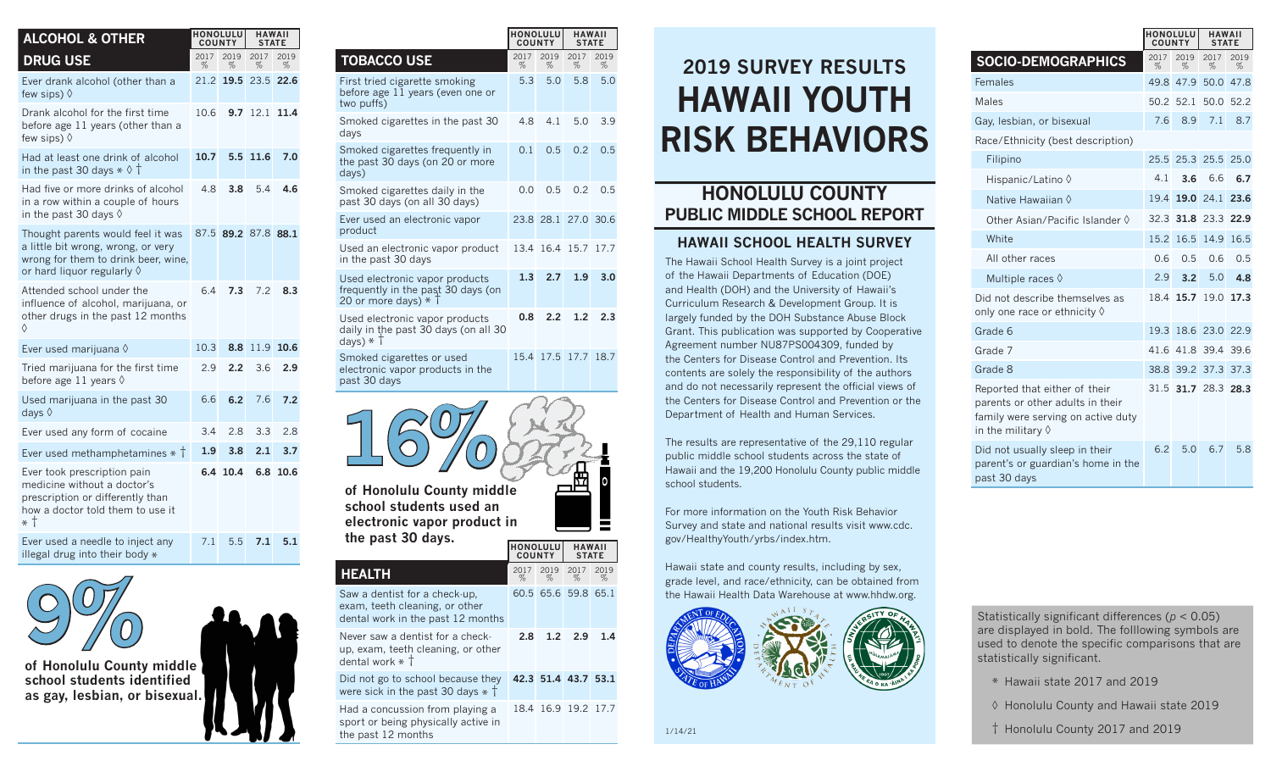| <b>ALCOHOL &amp; OTHER</b>                                                                                                                            | <b>HONOLULU</b><br><b>COUNTY</b> |                     | <b>HAWAII</b><br><b>STATE</b> |           |
|-------------------------------------------------------------------------------------------------------------------------------------------------------|----------------------------------|---------------------|-------------------------------|-----------|
| <b>DRUG USE</b>                                                                                                                                       | 2017<br>%                        | 2019<br>%           | 2017<br>%                     | 2019<br>% |
| Ever drank alcohol (other than a<br>few sips) $\Diamond$                                                                                              | 21.2                             | 19.5                | 23.5 22.6                     |           |
| Drank alcohol for the first time<br>before age 11 years (other than a<br>few sips) $\Diamond$                                                         | 10.6                             | 9.7                 | 12.1                          | 11.4      |
| Had at least one drink of alcohol<br>in the past 30 days $*$ $\diamond$ $\dagger$                                                                     | 10.7                             | 5.5                 | 11.6                          | 7.0       |
| Had five or more drinks of alcohol<br>in a row within a couple of hours<br>in the past 30 days $\Diamond$                                             | 4.8                              | 3.8                 | 5.4                           | 4.6       |
| Thought parents would feel it was<br>a little bit wrong, wrong, or very<br>wrong for them to drink beer, wine,<br>or hard liquor regularly $\Diamond$ |                                  | 87.5 89.2 87.8 88.1 |                               |           |
| Attended school under the<br>influence of alcohol, marijuana, or<br>other drugs in the past 12 months<br>♦                                            | 6.4                              | 7.3                 | 7.2                           | 8.3       |
| Ever used marijuana $\Diamond$                                                                                                                        | 10.3                             | 8.8                 | 11.9                          | 10.6      |
| Tried marijuana for the first time<br>before age 11 years $\Diamond$                                                                                  | 29                               | 2.2                 | 36                            | 2.9       |
| Used marijuana in the past 30<br>days $\Diamond$                                                                                                      | 6.6                              | 6.2                 | 7.6                           | 7.2       |
| Ever used any form of cocaine                                                                                                                         | 3.4                              | 2.8                 | 3.3                           | 2.8       |
| Ever used methamphetamines $*$ $\dagger$                                                                                                              | 1.9                              | 3.8                 | 2.1                           | 3.7       |
| Ever took prescription pain<br>medicine without a doctor's<br>prescription or differently than<br>how a doctor told them to use it<br>* †             | 6.4                              | 10.4                | 6.8                           | 10.6      |
| Ever used a needle to inject any<br>illegal drug into their body *                                                                                    | 7.1                              | 5.5                 | 7.1                           | 5.1       |



**of Honolulu County middle school students identified as gay, lesbian, or bisexual.** 

|                                                                                                      | <b>HONOLULU</b><br><b>COUNTY</b> |                 | <b>HAWAII</b><br><b>STATE</b> |           |
|------------------------------------------------------------------------------------------------------|----------------------------------|-----------------|-------------------------------|-----------|
| <b>TOBACCO USE</b>                                                                                   | 2017<br>%                        | 2019<br>%       | 2017<br>%                     | 2019<br>% |
| First tried cigarette smoking<br>before age 11 years (even one or<br>two puffs)                      | 5.3                              | 5.0             | 5.8                           | 5.0       |
| Smoked cigarettes in the past 30<br>days                                                             | 4.8                              | 4.1             | 5.0                           | 3.9       |
| Smoked cigarettes frequently in<br>the past 30 days (on 20 or more<br>days)                          | 0.1                              | 0.5             | 0.2                           | 0.5       |
| Smoked cigarettes daily in the<br>past 30 days (on all 30 days)                                      | 0.0                              | 0.5             | 0.2                           | 0.5       |
| Ever used an electronic vapor<br>product                                                             | 23.8                             | 28.1            | 27.0                          | 30.6      |
| Used an electronic vapor product<br>in the past 30 days                                              | 13.4                             | 16.4            | 15.7                          | 17.7      |
| Used electronic vapor products<br>frequently in the past 30 days (on<br>20 or more days) $*$ T       | 1.3                              | 2.7             | 1.9                           | 3.0       |
| Used electronic vapor products<br>daily in the past 30 days (on all 30<br>days) $*$ $\uparrow$       | 0.8                              | 2.2             | 1.2                           | 2.3       |
| Smoked cigarettes or used<br>electronic vapor products in the<br>past 30 days                        |                                  | 15.4 17.5       | 17.7                          | 18.7      |
| of Honolulu County middle<br>school students used an<br>electronic vapor product in                  |                                  |                 |                               |           |
| the past 30 days.                                                                                    | <b>COUNTY</b>                    | <b>HONOLULU</b> | <b>HAWAII</b><br><b>STATE</b> |           |
| <b>HEALTH</b>                                                                                        | 2017<br>%                        | 2019<br>%       | 2017<br>%                     | 2019<br>% |
| Saw a dentist for a check-up,<br>exam, teeth cleaning, or other<br>dental work in the past 12 months |                                  |                 | 60.5 65.6 59.8 65.1           |           |
| Never saw a dentist for a check-<br>up, exam, teeth cleaning, or other<br>dental work $*$ $\dagger$  | 2.8                              | 1.2             | 2.9                           | 1.4       |
| Did not go to school because they<br>were sick in the past 30 days $*$ $\uparrow$                    |                                  |                 | 42.3 51.4 43.7 53.1           |           |
| Had a concussion from playing a<br>sport or being physically active in<br>the past 12 months         |                                  | 18.4 16.9       | 19.2                          | 17.7      |

## **HAWAII YOUTH RISK BEHAVIORS 2019 SURVEY RESULTS**

## **HONOLULU COUNTY PUBLIC MIDDLE SCHOOL REPORT**

## **HAWAII SCHOOL HEALTH SURVEY**

The Hawaii School Health Survey is a joint project of the Hawaii Departments of Education (DOE) and Health (DOH) and the University of Hawaii's Curriculum Research & Development Group. It is largely funded by the DOH Substance Abuse Block Grant. This publication was supported by Cooperative Agreement number NU87PS004309, funded by the Centers for Disease Control and Prevention. Its contents are solely the responsibility of the authors and do not necessarily represent the official views of the Centers for Disease Control and Prevention or the Department of Health and Human Services.

The results are representative of the 29,110 regular public middle school students across the state of Hawaii and the 19,200 Honolulu County public middle school students.

For more information on the Youth Risk Behavior Survey and state and national results visit www.cdc. gov/HealthyYouth/yrbs/index.htm.

Hawaii state and county results, including by sex, grade level, and race/ethnicity, can be obtained from the Hawaii Health Data Warehouse at www.hhdw.org.



| <b>SOCIO-DEMOGRAPHICS</b>                                                                                                             | 2017<br>% | 2019<br>$\%$   | 2017<br>$\%$        | 2019<br>% |
|---------------------------------------------------------------------------------------------------------------------------------------|-----------|----------------|---------------------|-----------|
| Females                                                                                                                               | 49.8      | 47.9           | 50.0                | 47.8      |
| Males                                                                                                                                 |           | 50.2 52.1      | 50.0                | 52.2      |
| Gay, lesbian, or bisexual                                                                                                             | 7.6       | 8.9            | 7.1                 | 8.7       |
| Race/Ethnicity (best description)                                                                                                     |           |                |                     |           |
| Filipino                                                                                                                              |           |                | 25.5 25.3 25.5      | 25.0      |
| Hispanic/Latino 0                                                                                                                     | 4.1       | 3.6            | 6.6                 | 6.7       |
| Native Hawaiian ♦                                                                                                                     |           | 19.4 19.0 24.1 |                     | 23.6      |
| Other Asian/Pacific Islander $\Diamond$                                                                                               |           | 32.3 31.8 23.3 |                     | 22.9      |
| White                                                                                                                                 | 15.2      | 16.5           | 14.9                | 16.5      |
| All other races                                                                                                                       | 0.6       | 0.5            | 0.6                 | 0.5       |
| Multiple races $\Diamond$                                                                                                             | 2.9       | 3.2            | 5.0                 | 4.8       |
| Did not describe themselves as<br>only one race or ethnicity $\Diamond$                                                               |           | 18.4 15.7      | 19.0                | 17.3      |
| Grade 6                                                                                                                               |           |                | 19.3 18.6 23.0 22.9 |           |
| Grade 7                                                                                                                               | 41.6      | 41.8 39.4      |                     | 39.6      |
| Grade 8                                                                                                                               |           |                | 38.8 39.2 37.3      | 37.3      |
| Reported that either of their<br>parents or other adults in their<br>family were serving on active duty<br>in the military $\Diamond$ |           |                | 31.5 31.7 28.3 28.3 |           |
| Did not usually sleep in their<br>parent's or guardian's home in the<br>past 30 days                                                  | 6.2       | 5.0            | 6.7                 | 5.8       |

**HONOLULU COUNTY**

**HAWAII STATE**

Statistically significant differences (*p* < 0.05) are displayed in bold. The folllowing symbols are used to denote the specific comparisons that are statistically significant.

\* Hawaii state 2017 and 2019

◊ Honolulu County and Hawaii state 2019

† Honolulu County 2017 and 2019